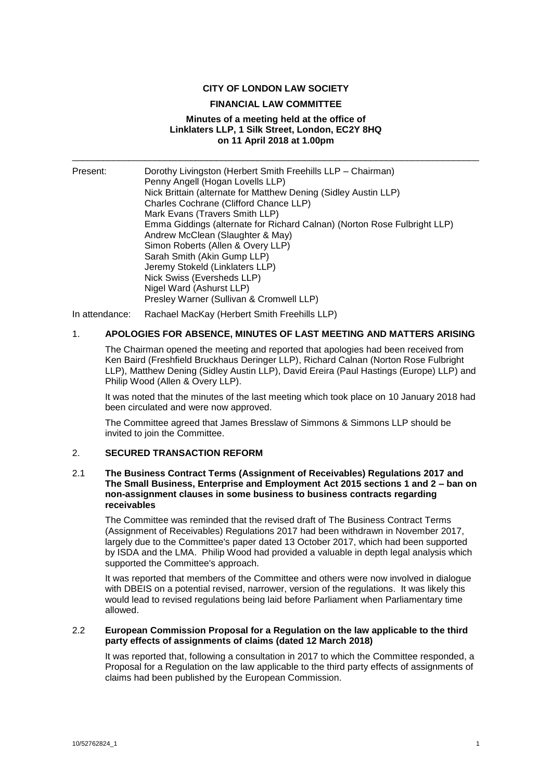## **CITY OF LONDON LAW SOCIETY**

#### **FINANCIAL LAW COMMITTEE**

## **Minutes of a meeting held at the office of Linklaters LLP, 1 Silk Street, London, EC2Y 8HQ on 11 April 2018 at 1.00pm**

\_\_\_\_\_\_\_\_\_\_\_\_\_\_\_\_\_\_\_\_\_\_\_\_\_\_\_\_\_\_\_\_\_\_\_\_\_\_\_\_\_\_\_\_\_\_\_\_\_\_\_\_\_\_\_\_\_\_\_\_\_\_\_\_\_\_\_\_\_\_\_\_\_\_\_\_\_\_\_

| Present: | Dorothy Livingston (Herbert Smith Freehills LLP – Chairman)<br>Penny Angell (Hogan Lovells LLP) |
|----------|-------------------------------------------------------------------------------------------------|
|          | Nick Brittain (alternate for Matthew Dening (Sidley Austin LLP)                                 |
|          | Charles Cochrane (Clifford Chance LLP)                                                          |
|          | Mark Evans (Travers Smith LLP)                                                                  |
|          | Emma Giddings (alternate for Richard Calnan) (Norton Rose Fulbright LLP)                        |
|          | Andrew McClean (Slaughter & May)                                                                |
|          | Simon Roberts (Allen & Overy LLP)                                                               |
|          | Sarah Smith (Akin Gump LLP)                                                                     |
|          | Jeremy Stokeld (Linklaters LLP)                                                                 |
|          | Nick Swiss (Eversheds LLP)                                                                      |
|          | Nigel Ward (Ashurst LLP)                                                                        |
|          | Presley Warner (Sullivan & Cromwell LLP)                                                        |

In attendance: Rachael MacKay (Herbert Smith Freehills LLP)

## 1. **APOLOGIES FOR ABSENCE, MINUTES OF LAST MEETING AND MATTERS ARISING**

The Chairman opened the meeting and reported that apologies had been received from Ken Baird (Freshfield Bruckhaus Deringer LLP), Richard Calnan (Norton Rose Fulbright LLP), Matthew Dening (Sidley Austin LLP), David Ereira (Paul Hastings (Europe) LLP) and Philip Wood (Allen & Overy LLP).

It was noted that the minutes of the last meeting which took place on 10 January 2018 had been circulated and were now approved.

The Committee agreed that James Bresslaw of Simmons & Simmons LLP should be invited to join the Committee.

#### 2. **SECURED TRANSACTION REFORM**

#### 2.1 **The Business Contract Terms (Assignment of Receivables) Regulations 2017 and The Small Business, Enterprise and Employment Act 2015 sections 1 and 2 – ban on non-assignment clauses in some business to business contracts regarding receivables**

The Committee was reminded that the revised draft of The Business Contract Terms (Assignment of Receivables) Regulations 2017 had been withdrawn in November 2017, largely due to the Committee's paper dated 13 October 2017, which had been supported by ISDA and the LMA. Philip Wood had provided a valuable in depth legal analysis which supported the Committee's approach.

It was reported that members of the Committee and others were now involved in dialogue with DBEIS on a potential revised, narrower, version of the regulations. It was likely this would lead to revised regulations being laid before Parliament when Parliamentary time allowed.

#### 2.2 **European Commission Proposal for a Regulation on the law applicable to the third party effects of assignments of claims (dated 12 March 2018)**

It was reported that, following a consultation in 2017 to which the Committee responded, a Proposal for a Regulation on the law applicable to the third party effects of assignments of claims had been published by the European Commission.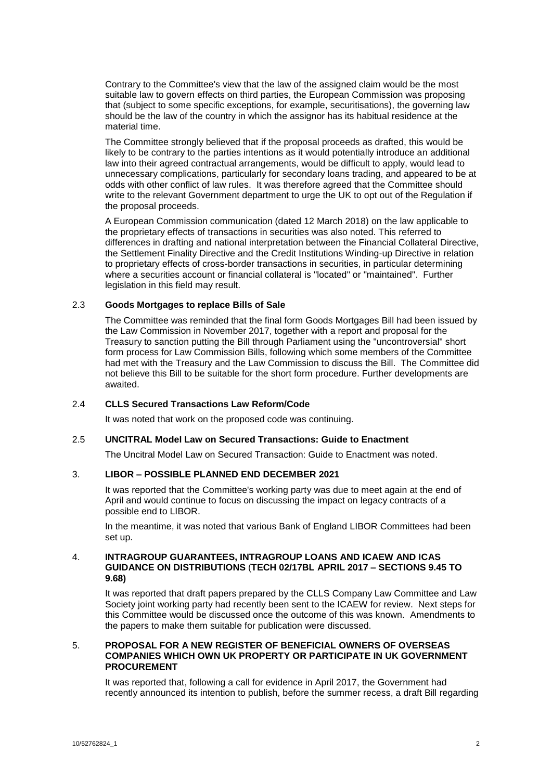Contrary to the Committee's view that the law of the assigned claim would be the most suitable law to govern effects on third parties, the European Commission was proposing that (subject to some specific exceptions, for example, securitisations), the governing law should be the law of the country in which the assignor has its habitual residence at the material time.

The Committee strongly believed that if the proposal proceeds as drafted, this would be likely to be contrary to the parties intentions as it would potentially introduce an additional law into their agreed contractual arrangements, would be difficult to apply, would lead to unnecessary complications, particularly for secondary loans trading, and appeared to be at odds with other conflict of law rules. It was therefore agreed that the Committee should write to the relevant Government department to urge the UK to opt out of the Regulation if the proposal proceeds.

A European Commission communication (dated 12 March 2018) on the law applicable to the proprietary effects of transactions in securities was also noted. This referred to differences in drafting and national interpretation between the Financial Collateral Directive, the Settlement Finality Directive and the Credit Institutions Winding-up Directive in relation to proprietary effects of cross-border transactions in securities, in particular determining where a securities account or financial collateral is "located" or "maintained". Further legislation in this field may result.

## 2.3 **Goods Mortgages to replace Bills of Sale**

The Committee was reminded that the final form Goods Mortgages Bill had been issued by the Law Commission in November 2017, together with a report and proposal for the Treasury to sanction putting the Bill through Parliament using the "uncontroversial" short form process for Law Commission Bills, following which some members of the Committee had met with the Treasury and the Law Commission to discuss the Bill. The Committee did not believe this Bill to be suitable for the short form procedure. Further developments are awaited.

# 2.4 **CLLS Secured Transactions Law Reform/Code**

It was noted that work on the proposed code was continuing.

## 2.5 **UNCITRAL Model Law on Secured Transactions: Guide to Enactment**

The Uncitral Model Law on Secured Transaction: Guide to Enactment was noted.

## 3. **LIBOR – POSSIBLE PLANNED END DECEMBER 2021**

It was reported that the Committee's working party was due to meet again at the end of April and would continue to focus on discussing the impact on legacy contracts of a possible end to LIBOR.

In the meantime, it was noted that various Bank of England LIBOR Committees had been set up.

## 4. **INTRAGROUP GUARANTEES, INTRAGROUP LOANS AND ICAEW AND ICAS GUIDANCE ON DISTRIBUTIONS** (**TECH 02/17BL APRIL 2017 – SECTIONS 9.45 TO 9.68)**

It was reported that draft papers prepared by the CLLS Company Law Committee and Law Society joint working party had recently been sent to the ICAEW for review. Next steps for this Committee would be discussed once the outcome of this was known. Amendments to the papers to make them suitable for publication were discussed.

## 5. **PROPOSAL FOR A NEW REGISTER OF BENEFICIAL OWNERS OF OVERSEAS COMPANIES WHICH OWN UK PROPERTY OR PARTICIPATE IN UK GOVERNMENT PROCUREMENT**

It was reported that, following a call for evidence in April 2017, the Government had recently announced its intention to publish, before the summer recess, a draft Bill regarding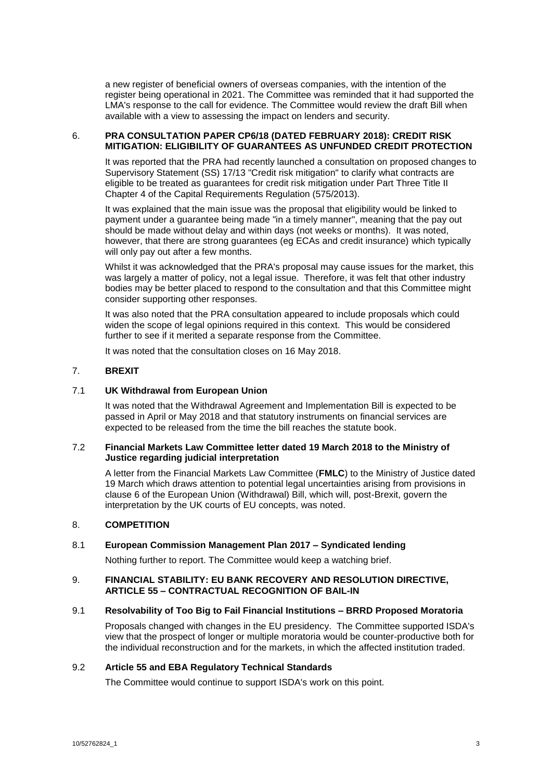a new register of beneficial owners of overseas companies, with the intention of the register being operational in 2021. The Committee was reminded that it had supported the LMA's response to the call for evidence. The Committee would review the draft Bill when available with a view to assessing the impact on lenders and security.

# 6. **PRA CONSULTATION PAPER CP6/18 (DATED FEBRUARY 2018): CREDIT RISK MITIGATION: ELIGIBILITY OF GUARANTEES AS UNFUNDED CREDIT PROTECTION**

It was reported that the PRA had recently launched a consultation on proposed changes to Supervisory Statement (SS) 17/13 "Credit risk mitigation" to clarify what contracts are eligible to be treated as guarantees for credit risk mitigation under Part Three Title II Chapter 4 of the Capital Requirements Regulation (575/2013).

It was explained that the main issue was the proposal that eligibility would be linked to payment under a guarantee being made "in a timely manner", meaning that the pay out should be made without delay and within days (not weeks or months). It was noted, however, that there are strong guarantees (eg ECAs and credit insurance) which typically will only pay out after a few months.

Whilst it was acknowledged that the PRA's proposal may cause issues for the market, this was largely a matter of policy, not a legal issue. Therefore, it was felt that other industry bodies may be better placed to respond to the consultation and that this Committee might consider supporting other responses.

It was also noted that the PRA consultation appeared to include proposals which could widen the scope of legal opinions required in this context. This would be considered further to see if it merited a separate response from the Committee.

It was noted that the consultation closes on 16 May 2018.

# 7. **BREXIT**

## 7.1 **UK Withdrawal from European Union**

It was noted that the Withdrawal Agreement and Implementation Bill is expected to be passed in April or May 2018 and that statutory instruments on financial services are expected to be released from the time the bill reaches the statute book.

## 7.2 **Financial Markets Law Committee letter dated 19 March 2018 to the Ministry of Justice regarding judicial interpretation**

A letter from the Financial Markets Law Committee (**FMLC**) to the Ministry of Justice dated 19 March which draws attention to potential legal uncertainties arising from provisions in clause 6 of the European Union (Withdrawal) Bill, which will, post-Brexit, govern the interpretation by the UK courts of EU concepts, was noted.

## 8. **COMPETITION**

# 8.1 **European Commission Management Plan 2017 – Syndicated lending**

Nothing further to report. The Committee would keep a watching brief.

## 9. **FINANCIAL STABILITY: EU BANK RECOVERY AND RESOLUTION DIRECTIVE, ARTICLE 55 – CONTRACTUAL RECOGNITION OF BAIL-IN**

## 9.1 **Resolvability of Too Big to Fail Financial Institutions – BRRD Proposed Moratoria**

Proposals changed with changes in the EU presidency. The Committee supported ISDA's view that the prospect of longer or multiple moratoria would be counter-productive both for the individual reconstruction and for the markets, in which the affected institution traded.

## 9.2 **Article 55 and EBA Regulatory Technical Standards**

The Committee would continue to support ISDA's work on this point.